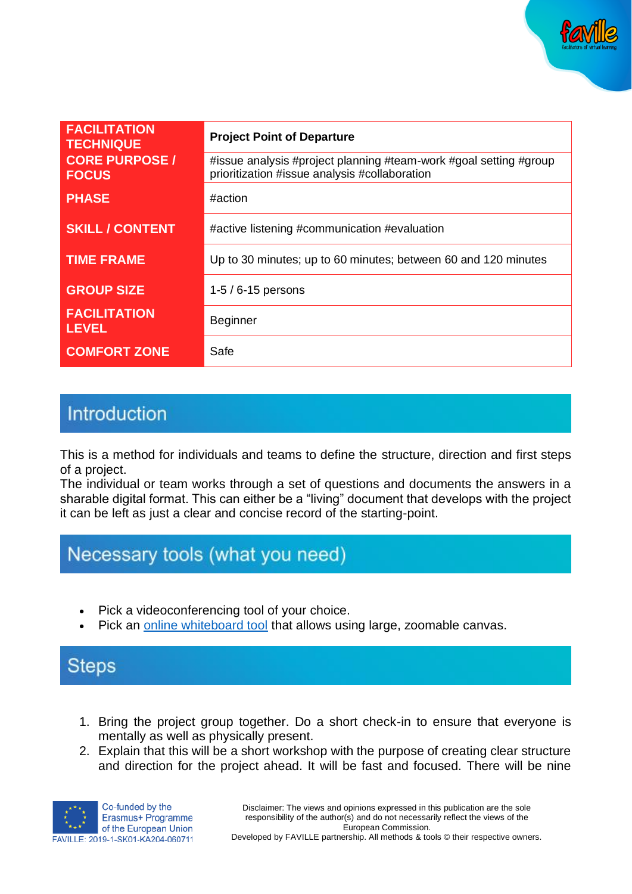

| <b>FACILITATION</b><br><b>TECHNIQUE</b> | <b>Project Point of Departure</b>                                                                                  |
|-----------------------------------------|--------------------------------------------------------------------------------------------------------------------|
| <b>CORE PURPOSE /</b><br><b>FOCUS</b>   | #issue analysis #project planning #team-work #goal setting #group<br>prioritization #issue analysis #collaboration |
| <b>PHASE</b>                            | #action                                                                                                            |
| <b>SKILL / CONTENT</b>                  | #active listening #communication #evaluation                                                                       |
| <b>TIME FRAME</b>                       | Up to 30 minutes; up to 60 minutes; between 60 and 120 minutes                                                     |
| <b>GROUP SIZE</b>                       | $1-5/6-15$ persons                                                                                                 |
| <b>FACILITATION</b><br><b>LEVEL</b>     | <b>Beginner</b>                                                                                                    |
| <b>COMFORT ZONE</b>                     | Safe                                                                                                               |

#### Introduction

This is a method for individuals and teams to define the structure, direction and first steps of a project.

The individual or team works through a set of questions and documents the answers in a sharable digital format. This can either be a "living" document that develops with the project it can be left as just a clear and concise record of the starting-point.

### Necessary tools (what you need)

- Pick a videoconferencing tool of your choice.
- Pick an [online whiteboard tool](https://www.sessionlab.com/blog/online-tools-for-workshops/#online-whiteboard-tools) that allows using large, zoomable canvas.

# **Steps**

- 1. Bring the project group together. Do a short check-in to ensure that everyone is mentally as well as physically present.
- 2. Explain that this will be a short workshop with the purpose of creating clear structure and direction for the project ahead. It will be fast and focused. There will be nine



Developed by FAVILLE partnership. All methods & tools © their respective owners.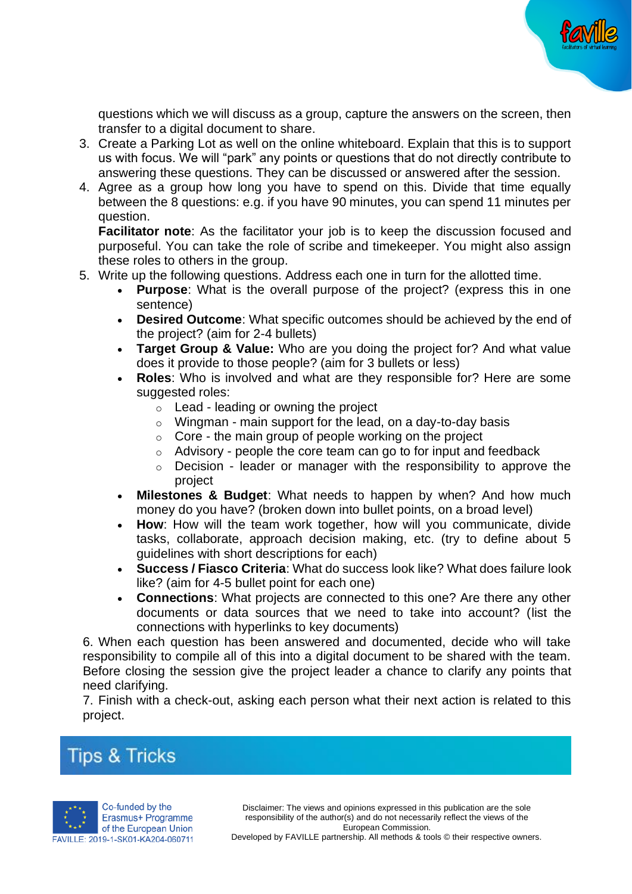

questions which we will discuss as a group, capture the answers on the screen, then transfer to a digital document to share.

- 3. Create a Parking Lot as well on the online whiteboard. Explain that this is to support us with focus. We will "park" any points or questions that do not directly contribute to answering these questions. They can be discussed or answered after the session.
- 4. Agree as a group how long you have to spend on this. Divide that time equally between the 8 questions: e.g. if you have 90 minutes, you can spend 11 minutes per question.

**Facilitator note**: As the facilitator your job is to keep the discussion focused and purposeful. You can take the role of scribe and timekeeper. You might also assign these roles to others in the group.

- 5. Write up the following questions. Address each one in turn for the allotted time.
	- **Purpose**: What is the overall purpose of the project? (express this in one sentence)
	- **Desired Outcome:** What specific outcomes should be achieved by the end of the project? (aim for 2-4 bullets)
	- **Target Group & Value:** Who are you doing the project for? And what value does it provide to those people? (aim for 3 bullets or less)
	- **Roles**: Who is involved and what are they responsible for? Here are some suggested roles:
		- $\circ$  Lead leading or owning the project
		- $\circ$  Wingman main support for the lead, on a day-to-day basis
		- $\circ$  Core the main group of people working on the project
		- $\circ$  Advisory people the core team can go to for input and feedback
		- $\circ$  Decision leader or manager with the responsibility to approve the project
	- **Milestones & Budget:** What needs to happen by when? And how much money do you have? (broken down into bullet points, on a broad level)
	- **How**: How will the team work together, how will you communicate, divide tasks, collaborate, approach decision making, etc. (try to define about 5 guidelines with short descriptions for each)
	- **Success / Fiasco Criteria**: What do success look like? What does failure look like? (aim for 4-5 bullet point for each one)
	- **Connections:** What projects are connected to this one? Are there any other documents or data sources that we need to take into account? (list the connections with hyperlinks to key documents)

6. When each question has been answered and documented, decide who will take responsibility to compile all of this into a digital document to be shared with the team. Before closing the session give the project leader a chance to clarify any points that need clarifying.

7. Finish with a check-out, asking each person what their next action is related to this project.

# **Tips & Tricks**



Disclaimer: The views and opinions expressed in this publication are the sole responsibility of the author(s) and do not necessarily reflect the views of the European Commission.

Developed by FAVILLE partnership. All methods & tools © their respective owners.